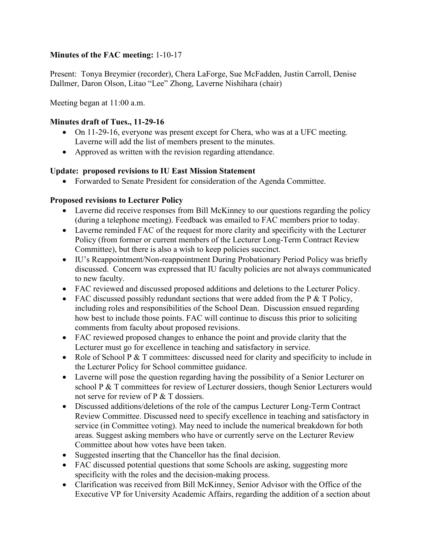# **Minutes of the FAC meeting:** 1-10-17

Present: Tonya Breymier (recorder), Chera LaForge, Sue McFadden, Justin Carroll, Denise Dallmer, Daron Olson, Litao "Lee" Zhong, Laverne Nishihara (chair)

Meeting began at 11:00 a.m.

### **Minutes draft of Tues., 11-29-16**

- On 11-29-16, everyone was present except for Chera, who was at a UFC meeting. Laverne will add the list of members present to the minutes.
- Approved as written with the revision regarding attendance.

#### **Update: proposed revisions to IU East Mission Statement**

• Forwarded to Senate President for consideration of the Agenda Committee.

#### **Proposed revisions to Lecturer Policy**

- Laverne did receive responses from Bill McKinney to our questions regarding the policy (during a telephone meeting). Feedback was emailed to FAC members prior to today.
- Laverne reminded FAC of the request for more clarity and specificity with the Lecturer Policy (from former or current members of the Lecturer Long-Term Contract Review Committee), but there is also a wish to keep policies succinct.
- IU's Reappointment/Non-reappointment During Probationary Period Policy was briefly discussed. Concern was expressed that IU faculty policies are not always communicated to new faculty.
- FAC reviewed and discussed proposed additions and deletions to the Lecturer Policy.
- FAC discussed possibly redundant sections that were added from the P  $&$  T Policy, including roles and responsibilities of the School Dean. Discussion ensued regarding how best to include those points. FAC will continue to discuss this prior to soliciting comments from faculty about proposed revisions.
- FAC reviewed proposed changes to enhance the point and provide clarity that the Lecturer must go for excellence in teaching and satisfactory in service.
- Role of School P & T committees: discussed need for clarity and specificity to include in the Lecturer Policy for School committee guidance.
- Laverne will pose the question regarding having the possibility of a Senior Lecturer on school P & T committees for review of Lecturer dossiers, though Senior Lecturers would not serve for review of P & T dossiers.
- Discussed additions/deletions of the role of the campus Lecturer Long-Term Contract Review Committee. Discussed need to specify excellence in teaching and satisfactory in service (in Committee voting). May need to include the numerical breakdown for both areas. Suggest asking members who have or currently serve on the Lecturer Review Committee about how votes have been taken.
- Suggested inserting that the Chancellor has the final decision.
- FAC discussed potential questions that some Schools are asking, suggesting more specificity with the roles and the decision-making process.
- Clarification was received from Bill McKinney, Senior Advisor with the Office of the Executive VP for University Academic Affairs, regarding the addition of a section about